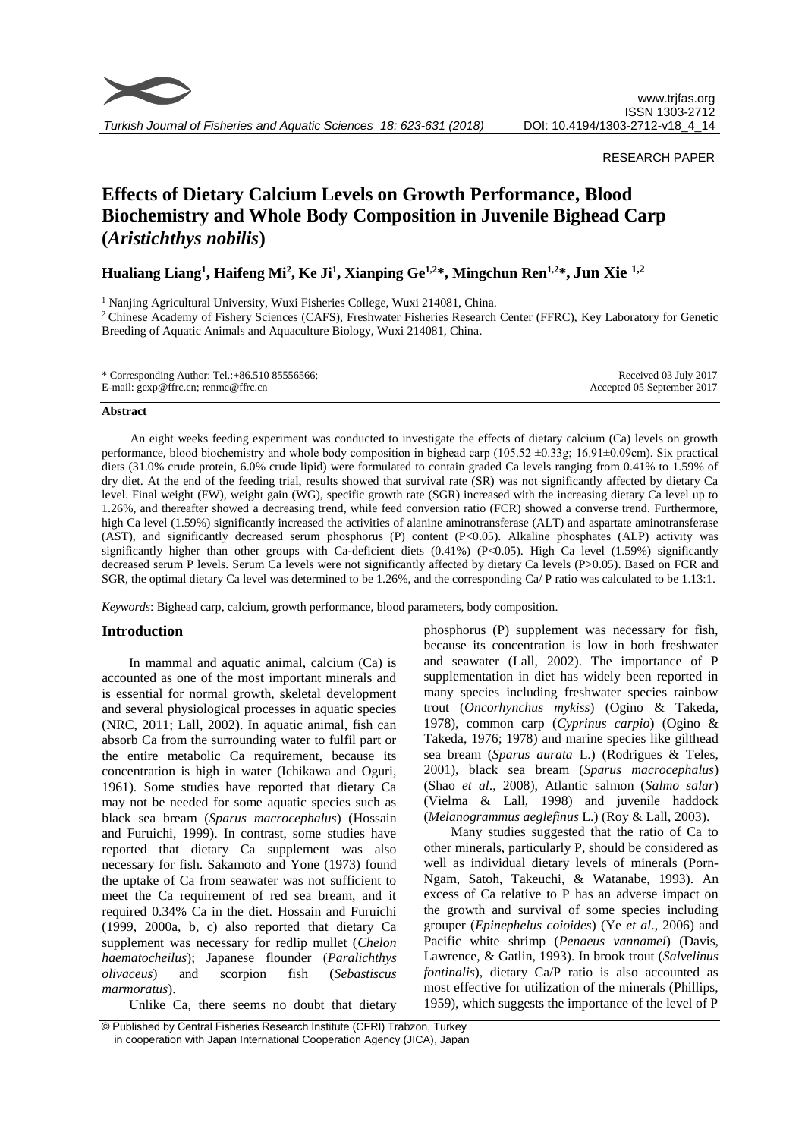

RESEARCH PAPER

# **Effects of Dietary Calcium Levels on Growth Performance, Blood Biochemistry and Whole Body Composition in Juvenile Bighead Carp (***Aristichthys nobilis***)**

**Hualiang Liang<sup>1</sup> , Haifeng Mi<sup>2</sup> , Ke Ji<sup>1</sup> , Xianping Ge1,2\*, Mingchun Ren1,2\*, Jun Xie 1,2**

<sup>1</sup> Nanjing Agricultural University, Wuxi Fisheries College, Wuxi 214081, China.

<sup>2</sup> Chinese Academy of Fishery Sciences (CAFS), Freshwater Fisheries Research Center (FFRC), Key Laboratory for Genetic Breeding of Aquatic Animals and Aquaculture Biology, Wuxi 214081, China.

| * Corresponding Author: Tel.: $+86.5108555656$ ; | Received 03 July 2017      |
|--------------------------------------------------|----------------------------|
| E-mail: $\text{gen@ffrc}$ .cn; renmc@ffrc.cn     | Accepted 05 September 2017 |

## **Abstract**

An eight weeks feeding experiment was conducted to investigate the effects of dietary calcium (Ca) levels on growth performance, blood biochemistry and whole body composition in bighead carp ( $105.52 \pm 0.33$ g;  $16.91 \pm 0.09$ cm). Six practical diets (31.0% crude protein, 6.0% crude lipid) were formulated to contain graded Ca levels ranging from 0.41% to 1.59% of dry diet. At the end of the feeding trial, results showed that survival rate (SR) was not significantly affected by dietary Ca level. Final weight (FW), weight gain (WG), specific growth rate (SGR) increased with the increasing dietary Ca level up to 1.26%, and thereafter showed a decreasing trend, while feed conversion ratio (FCR) showed a converse trend. Furthermore, high Ca level (1.59%) significantly increased the activities of alanine aminotransferase (ALT) and aspartate aminotransferase (AST), and significantly decreased serum phosphorus (P) content (P<0.05). Alkaline phosphates (ALP) activity was significantly higher than other groups with Ca-deficient diets (0.41%) (P<0.05). High Ca level (1.59%) significantly decreased serum P levels. Serum Ca levels were not significantly affected by dietary Ca levels (P>0.05). Based on FCR and SGR, the optimal dietary Ca level was determined to be 1.26%, and the corresponding Ca/ P ratio was calculated to be 1.13:1.

*Keywords*: Bighead carp, calcium, growth performance, blood parameters, body composition.

# **Introduction**

In mammal and aquatic animal, calcium (Ca) is accounted as one of the most important minerals and is essential for normal growth, skeletal development and several physiological processes in aquatic species (NRC, 2011; Lall, 2002). In aquatic animal, fish can absorb Ca from the surrounding water to fulfil part or the entire metabolic Ca requirement, because its concentration is high in water (Ichikawa and Oguri, 1961). Some studies have reported that dietary Ca may not be needed for some aquatic species such as black sea bream (*Sparus macrocephalus*) (Hossain and Furuichi, 1999). In contrast, some studies have reported that dietary Ca supplement was also necessary for fish. Sakamoto and Yone (1973) found the uptake of Ca from seawater was not sufficient to meet the Ca requirement of red sea bream, and it required 0.34% Ca in the diet. Hossain and Furuichi (1999, 2000a, b, c) also reported that dietary Ca supplement was necessary for redlip mullet (*Chelon haematocheilus*); Japanese flounder (*Paralichthys olivaceus*) and scorpion fish (*Sebastiscus marmoratus*).

Unlike Ca, there seems no doubt that dietary

phosphorus (P) supplement was necessary for fish, because its concentration is low in both freshwater and seawater (Lall, 2002). The importance of P supplementation in diet has widely been reported in many species including freshwater species rainbow trout (*Oncorhynchus mykiss*) (Ogino & Takeda, 1978), common carp (*Cyprinus carpio*) (Ogino & Takeda, 1976; 1978) and marine species like gilthead sea bream (*Sparus aurata* L.) (Rodrigues & Teles, 2001), black sea bream (*Sparus macrocephalus*) (Shao *et al*., 2008), Atlantic salmon (*Salmo salar*) (Vielma & Lall, 1998) and juvenile haddock (*Melanogrammus aeglefinus* L.) (Roy & Lall, 2003).

Many studies suggested that the ratio of Ca to other minerals, particularly P, should be considered as well as individual dietary levels of minerals (Porn-Ngam, Satoh, Takeuchi, & Watanabe, 1993). An excess of Ca relative to P has an adverse impact on the growth and survival of some species including grouper (*Epinephelus coioides*) (Ye *et al*., 2006) and Pacific white shrimp (*Penaeus vannamei*) (Davis, Lawrence, & Gatlin, 1993). In brook trout (*Salvelinus fontinalis*), dietary Ca/P ratio is also accounted as most effective for utilization of the minerals (Phillips, 1959), which suggests the importance of the level of P

© Published by Central Fisheries Research Institute (CFRI) Trabzon, Turkey in cooperation with Japan International Cooperation Agency (JICA), Japan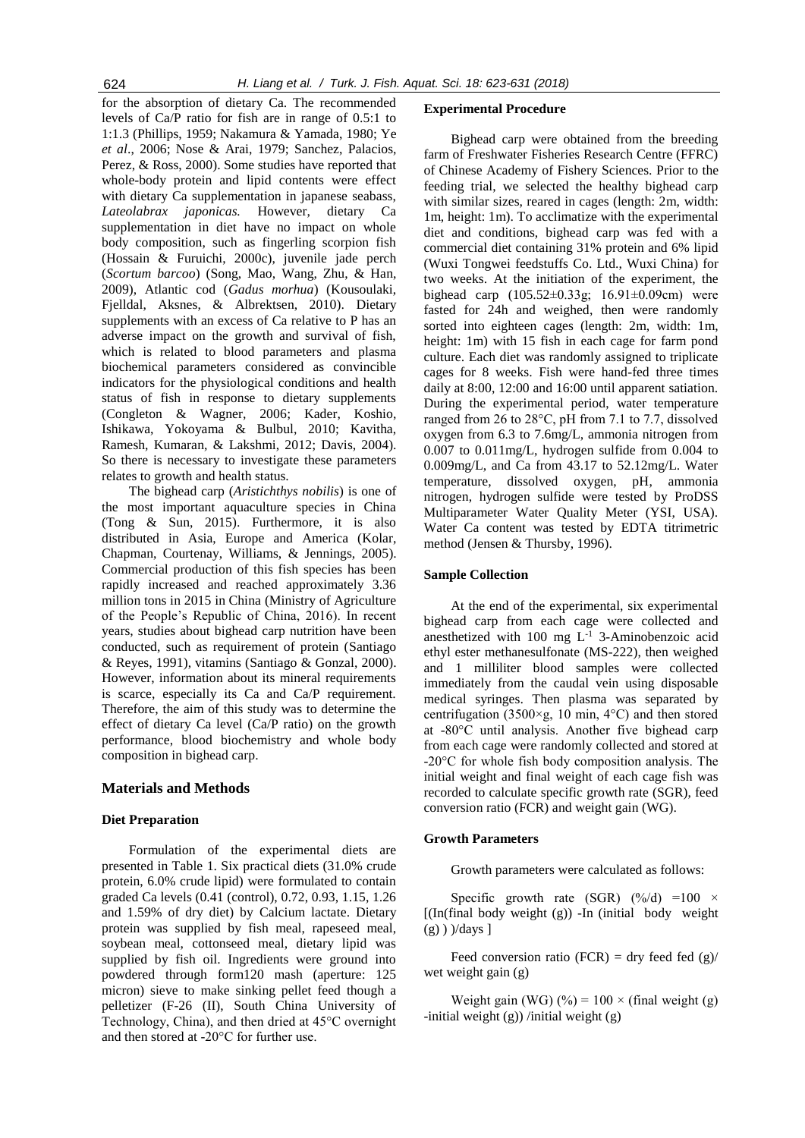for the absorption of dietary Ca. The recommended levels of Ca/P ratio for fish are in range of 0.5:1 to 1:1.3 (Phillips, 1959; Nakamura & Yamada, 1980; Ye *et al*., 2006; Nose & Arai, 1979; Sanchez, Palacios, Perez, & Ross, 2000). Some studies have reported that whole-body protein and lipid contents were effect with dietary Ca supplementation in japanese seabass, *Lateolabrax japonicas.* However, dietary Ca supplementation in diet have no impact on whole body composition, such as fingerling scorpion fish (Hossain & Furuichi, 2000c), juvenile jade perch (*Scortum barcoo*) (Song, Mao, Wang, Zhu, & Han, 2009), Atlantic cod (*Gadus morhua*) (Kousoulaki, Fjelldal, Aksnes, & Albrektsen, 2010). Dietary supplements with an excess of Ca relative to P has an adverse impact on the growth and survival of fish, which is related to blood parameters and plasma biochemical parameters considered as convincible indicators for the physiological conditions and health status of fish in response to dietary supplements (Congleton & Wagner, 2006; Kader, Koshio, Ishikawa, Yokoyama & Bulbul, 2010; Kavitha, Ramesh, Kumaran, & Lakshmi, 2012; Davis, 2004). So there is necessary to investigate these parameters relates to growth and health status.

The bighead carp (*Aristichthys nobilis*) is one of the most important aquaculture species in China (Tong & Sun, 2015). Furthermore, it is also distributed in Asia, Europe and America (Kolar, Chapman, Courtenay, Williams, & Jennings, 2005). Commercial production of this fish species has been rapidly increased and reached approximately 3.36 million tons in 2015 in China (Ministry of Agriculture of the People's Republic of China, 2016). In recent years, studies about bighead carp nutrition have been conducted, such as requirement of protein (Santiago & Reyes, 1991), vitamins (Santiago & Gonzal, 2000). However, information about its mineral requirements is scarce, especially its Ca and Ca/P requirement. Therefore, the aim of this study was to determine the effect of dietary Ca level (Ca/P ratio) on the growth performance, blood biochemistry and whole body composition in bighead carp.

# **Materials and Methods**

#### **Diet Preparation**

Formulation of the experimental diets are presented in Table 1. Six practical diets (31.0% crude protein, 6.0% crude lipid) were formulated to contain graded Ca levels (0.41 (control), 0.72, 0.93, 1.15, 1.26 and 1.59% of dry diet) by Calcium lactate. Dietary protein was supplied by fish meal, rapeseed meal, soybean meal, cottonseed meal, dietary lipid was supplied by fish oil. Ingredients were ground into powdered through form120 mash (aperture: 125 micron) sieve to make sinking pellet feed though a pelletizer (F-26 (II), South China University of Technology, China), and then dried at 45°C overnight and then stored at -20°C for further use.

# **Experimental Procedure**

Bighead carp were obtained from the breeding farm of Freshwater Fisheries Research Centre (FFRC) of Chinese Academy of Fishery Sciences. Prior to the feeding trial, we selected the healthy bighead carp with similar sizes, reared in cages (length: 2m, width: 1m, height: 1m). To acclimatize with the experimental diet and conditions, bighead carp was fed with a commercial diet containing 31% protein and 6% lipid (Wuxi Tongwei feedstuffs Co. Ltd., Wuxi China) for two weeks. At the initiation of the experiment, the bighead carp (105.52±0.33g; 16.91±0.09cm) were fasted for 24h and weighed, then were randomly sorted into eighteen cages (length: 2m, width: 1m, height: 1m) with 15 fish in each cage for farm pond culture. Each diet was randomly assigned to triplicate cages for 8 weeks. Fish were hand-fed three times daily at 8:00, 12:00 and 16:00 until apparent satiation. During the experimental period, water temperature ranged from 26 to 28°C, pH from 7.1 to 7.7, dissolved oxygen from 6.3 to 7.6mg/L, ammonia nitrogen from 0.007 to 0.011mg/L, hydrogen sulfide from 0.004 to 0.009mg/L, and Ca from 43.17 to 52.12mg/L. Water temperature, dissolved oxygen, pH, ammonia nitrogen, hydrogen sulfide were tested by ProDSS Multiparameter Water Quality Meter (YSI, USA). Water Ca content was tested by EDTA titrimetric method (Jensen & Thursby, 1996).

#### **Sample Collection**

At the end of the experimental, six experimental bighead carp from each cage were collected and anesthetized with 100 mg  $L^{-1}$  3-Aminobenzoic acid ethyl ester methanesulfonate (MS-222), then weighed and 1 milliliter blood samples were collected immediately from the caudal vein using disposable medical syringes. Then plasma was separated by centrifugation (3500×g, 10 min, 4°C) and then stored at -80°C until analysis. Another five bighead carp from each cage were randomly collected and stored at -20°C for whole fish body composition analysis. The initial weight and final weight of each cage fish was recorded to calculate specific growth rate (SGR), feed conversion ratio (FCR) and weight gain (WG).

## **Growth Parameters**

Growth parameters were calculated as follows:

Specific growth rate (SGR)  $(\frac{\%}{d}) = 100 \times$  $[(\text{In}(\text{final} \text{ body} \text{ weight } (\text{g})) - \text{In} (\text{initial} \text{ body} \text{ weight})]$  $(g)$ ) )/days ]

Feed conversion ratio (FCR) = dry feed fed  $(g)$ / wet weight gain (g)

Weight gain (WG) (%) =  $100 \times$  (final weight (g) -initial weight  $(g)$ ) /initial weight  $(g)$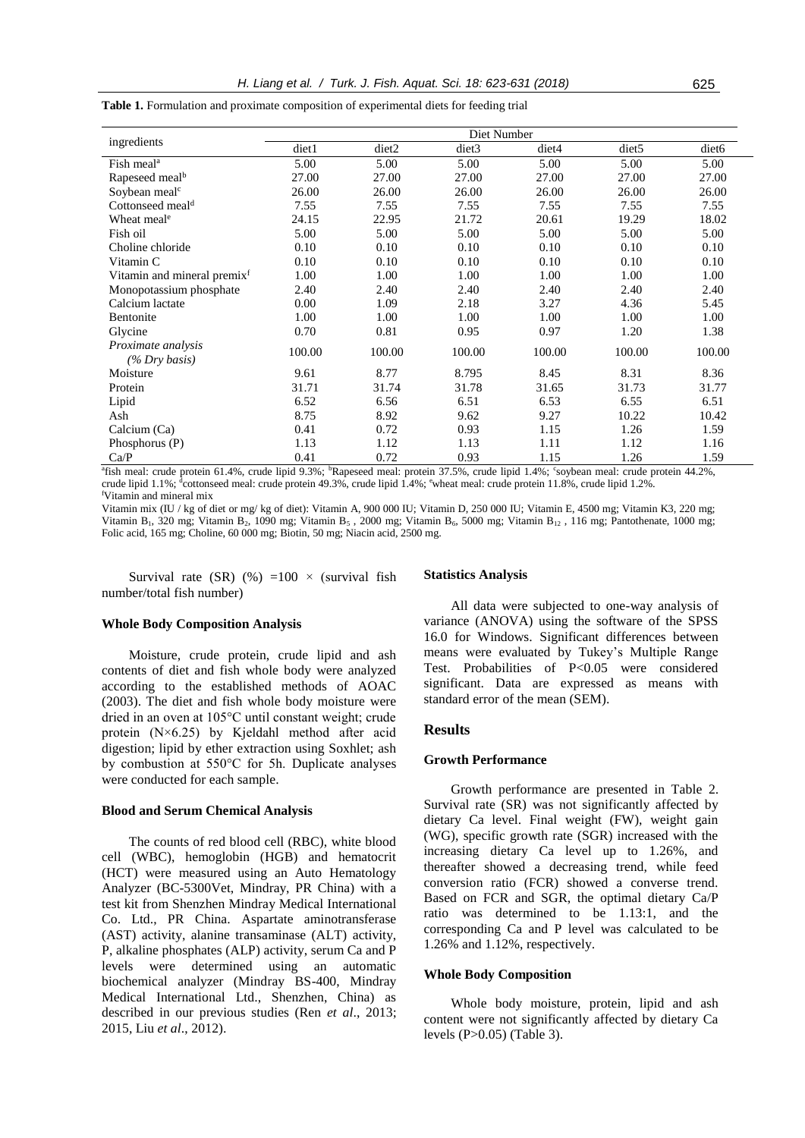|                                         |        |        | Diet Number       |        |                   |                   |
|-----------------------------------------|--------|--------|-------------------|--------|-------------------|-------------------|
| ingredients                             | diet1  | diet2  | diet <sub>3</sub> | diet4  | diet <sub>5</sub> | diet <sub>6</sub> |
| Fish meal <sup>a</sup>                  | 5.00   | 5.00   | 5.00              | 5.00   | 5.00              | 5.00              |
| Rapeseed meal <sup>b</sup>              | 27.00  | 27.00  | 27.00             | 27.00  | 27.00             | 27.00             |
| Soybean meal <sup>c</sup>               | 26.00  | 26.00  | 26.00             | 26.00  | 26.00             | 26.00             |
| Cottonseed meal <sup>d</sup>            | 7.55   | 7.55   | 7.55              | 7.55   | 7.55              | 7.55              |
| Wheat meal <sup>e</sup>                 | 24.15  | 22.95  | 21.72             | 20.61  | 19.29             | 18.02             |
| Fish oil                                | 5.00   | 5.00   | 5.00              | 5.00   | 5.00              | 5.00              |
| Choline chloride                        | 0.10   | 0.10   | 0.10              | 0.10   | 0.10              | 0.10              |
| Vitamin C                               | 0.10   | 0.10   | 0.10              | 0.10   | 0.10              | 0.10              |
| Vitamin and mineral premix <sup>f</sup> | 1.00   | 1.00   | 1.00              | 1.00   | 1.00              | 1.00              |
| Monopotassium phosphate                 | 2.40   | 2.40   | 2.40              | 2.40   | 2.40              | 2.40              |
| Calcium lactate                         | 0.00   | 1.09   | 2.18              | 3.27   | 4.36              | 5.45              |
| Bentonite                               | 1.00   | 1.00   | 1.00              | 1.00   | 1.00              | 1.00              |
| Glycine                                 | 0.70   | 0.81   | 0.95              | 0.97   | 1.20              | 1.38              |
| <i>Proximate analysis</i>               | 100.00 | 100.00 | 100.00            | 100.00 | 100.00            | 100.00            |
| $(\%$ Dry basis)                        |        |        |                   |        |                   |                   |
| Moisture                                | 9.61   | 8.77   | 8.795             | 8.45   | 8.31              | 8.36              |
| Protein                                 | 31.71  | 31.74  | 31.78             | 31.65  | 31.73             | 31.77             |
| Lipid                                   | 6.52   | 6.56   | 6.51              | 6.53   | 6.55              | 6.51              |
| Ash                                     | 8.75   | 8.92   | 9.62              | 9.27   | 10.22             | 10.42             |
| Calcium (Ca)                            | 0.41   | 0.72   | 0.93              | 1.15   | 1.26              | 1.59              |
| Phosphorus (P)                          | 1.13   | 1.12   | 1.13              | 1.11   | 1.12              | 1.16              |
| Ca/P                                    | 0.41   | 0.72   | 0.93              | 1.15   | 1.26              | 1.59              |

**Table 1.** Formulation and proximate composition of experimental diets for feeding trial

<sup>a</sup>fish meal: crude protein 61.4%, crude lipid 9.3%; <sup>b</sup>Rapeseed meal: protein 37.5%, crude lipid 1.4%; °soybean meal: crude protein 44.2%, crude lipid 1.1%; dcottonseed meal: crude protein 49.3%, crude lipid 1.4%; [wheat meal:](javascript:void(0);) crude protein 11.8%, crude lipid 1.2%. <sup>f</sup>Vitamin and mineral mix

Vitamin mix (IU / kg of diet or mg/ kg of diet): Vitamin A, 900 000 IU; Vitamin D, 250 000 IU; Vitamin E, 4500 mg; Vitamin K3, 220 mg; Vitamin B<sub>1</sub>, 320 mg; Vitamin B<sub>2</sub>, 1090 mg; Vitamin B<sub>5</sub>, 2000 mg; Vitamin B<sub>6</sub>, 5000 mg; Vitamin B<sub>12</sub>, 116 mg; Pantothenate, 1000 mg; Folic acid, 165 mg; Choline, 60 000 mg; Biotin, 50 mg; Niacin acid, 2500 mg.

Survival rate (SR)  $(\%) = 100 \times$  (survival fish number/total fish number)

#### **Whole Body Composition Analysis**

Moisture, crude protein, crude lipid and ash contents of diet and fish whole body were analyzed according to the established methods of AOAC (2003). The diet and fish whole body moisture were dried in an oven at 105°C until constant weight; crude protein (N×6.25) by Kjeldahl method after acid digestion; lipid by ether extraction using Soxhlet; ash by combustion at 550°C for 5h. Duplicate analyses were conducted for each sample.

#### **Blood and Serum Chemical Analysis**

The counts of red blood cell (RBC), white blood cell (WBC), hemoglobin (HGB) and hematocrit (HCT) were measured using an Auto Hematology Analyzer (BC-5300Vet, Mindray, PR China) with a test kit from Shenzhen Mindray Medical International Co. Ltd., PR China. Aspartate aminotransferase (AST) activity, alanine transaminase (ALT) activity, P, alkaline phosphates (ALP) activity, serum Ca and P levels were determined using an automatic biochemical analyzer (Mindray BS-400, Mindray Medical International Ltd., Shenzhen, China) as described in our previous studies (Ren *et al*., 2013; 2015, Liu *et al*., 2012).

#### **Statistics Analysis**

All data were subjected to one-way analysis of variance (ANOVA) using the software of the SPSS 16.0 for Windows. Significant differences between means were evaluated by Tukey's Multiple Range Test. Probabilities of P<0.05 were considered significant. Data are expressed as means with standard error of the mean (SEM).

# **Results**

# **Growth Performance**

Growth performance are presented in Table 2. Survival rate (SR) was not significantly affected by dietary Ca level. Final weight (FW), weight gain (WG), specific growth rate (SGR) increased with the increasing dietary Ca level up to 1.26%, and thereafter showed a decreasing trend, while feed conversion ratio (FCR) showed a converse trend. Based on FCR and SGR, the optimal dietary Ca/P ratio was determined to be 1.13:1, and the corresponding Ca and P level was calculated to be 1.26% and 1.12%, respectively.

## **Whole Body Composition**

Whole body moisture, protein, lipid and ash content were not significantly affected by dietary Ca levels (P>0.05) (Table 3).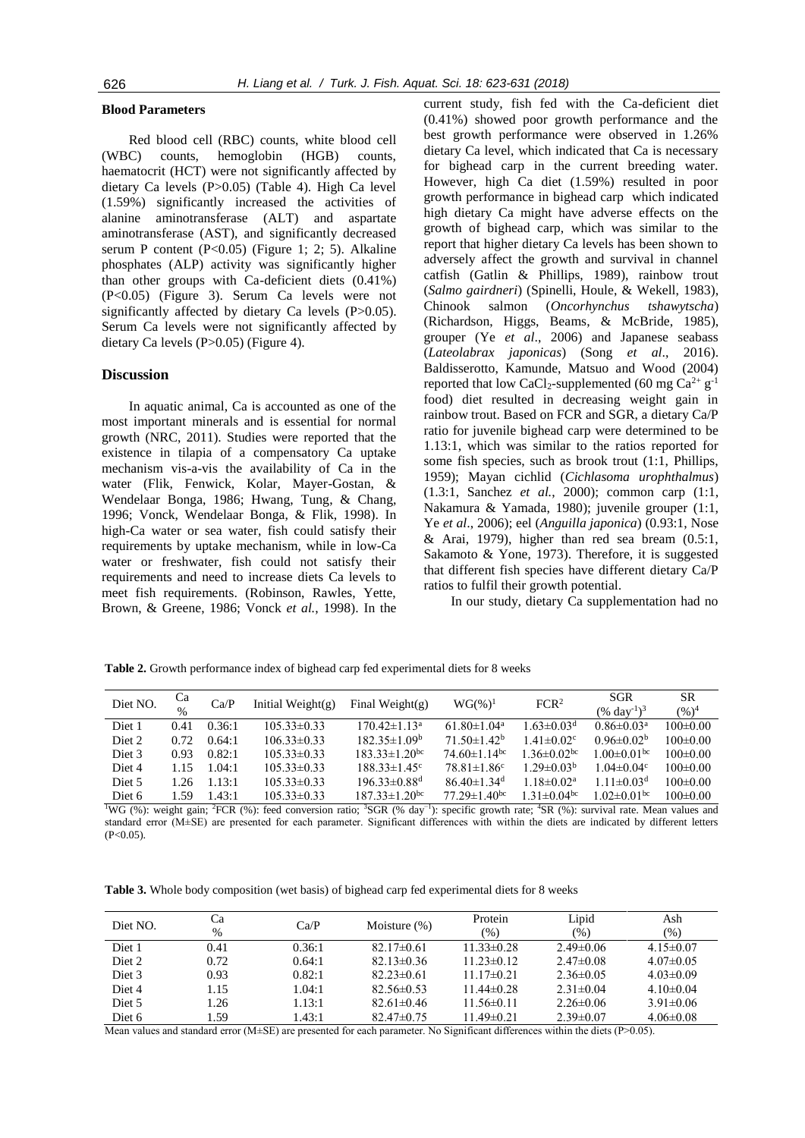# **Blood Parameters**

Red blood cell (RBC) counts, white blood cell (WBC) counts, hemoglobin (HGB) counts, haematocrit (HCT) were not significantly affected by dietary Ca levels (P>0.05) (Table 4). High Ca level (1.59%) significantly increased the activities of alanine aminotransferase (ALT) and aspartate aminotransferase (AST), and significantly decreased serum P content (P<0.05) (Figure 1; 2; 5). Alkaline phosphates (ALP) activity was significantly higher than other groups with Ca-deficient diets (0.41%) (P<0.05) (Figure 3). Serum Ca levels were not significantly affected by dietary Ca levels (P>0.05). Serum Ca levels were not significantly affected by dietary Ca levels (P>0.05) (Figure 4).

# **Discussion**

In aquatic animal, Ca is accounted as one of the most important minerals and is essential for normal growth (NRC, 2011). Studies were reported that the existence in tilapia of a compensatory Ca uptake mechanism vis-a-vis the availability of Ca in the water (Flik, Fenwick, Kolar, Mayer-Gostan, & Wendelaar Bonga, 1986; Hwang, Tung, & Chang, 1996; Vonck, Wendelaar Bonga, & Flik, 1998). In high-Ca water or sea water, fish could satisfy their requirements by uptake mechanism, while in low-Ca water or freshwater, fish could not satisfy their requirements and need to increase diets Ca levels to meet fish requirements. (Robinson, Rawles, Yette, Brown, & Greene, 1986; Vonck *et al.*, 1998). In the

current study, fish fed with the Ca-deficient diet (0.41%) showed poor growth performance and the best growth performance were observed in 1.26% dietary Ca level, which indicated that Ca is necessary for bighead carp in the current breeding water. However, high Ca diet (1.59%) resulted in poor growth performance in bighead carp which indicated high dietary Ca might have adverse effects on the growth of bighead carp, which was similar to the report that higher dietary Ca levels has been shown to adversely affect the growth and survival in channel catfish (Gatlin & Phillips, 1989), rainbow trout (*Salmo gairdneri*) (Spinelli, Houle, & Wekell, 1983), Chinook salmon (*Oncorhynchus tshawytscha*) (Richardson, Higgs, Beams, & McBride, 1985), grouper (Ye *et al*., 2006) and Japanese seabass (*Lateolabrax japonicas*) (Song *et al*., 2016). Baldisserotto, Kamunde, Matsuo and Wood (2004) reported that low CaCl<sub>2</sub>-supplemented (60 mg Ca<sup>2+</sup>  $g^{-1}$ food) diet resulted in decreasing weight gain in rainbow trout. Based on FCR and SGR, a dietary Ca/P ratio for juvenile bighead carp were determined to be 1.13:1, which was similar to the ratios reported for some fish species, such as brook trout (1:1, Phillips, 1959); Mayan cichlid (*Cichlasoma urophthalmus*) (1.3:1, Sanchez *et al.*, 2000); common carp (1:1, Nakamura & Yamada, 1980); juvenile grouper (1:1, Ye *et al*., 2006); eel (*Anguilla japonica*) (0.93:1, Nose & Arai, 1979), higher than red sea bream  $(0.5:1,$ Sakamoto & Yone, 1973). Therefore, it is suggested that different fish species have different dietary Ca/P ratios to fulfil their growth potential.

In our study, dietary Ca supplementation had no

**Table 2.** Growth performance index of bighead carp fed experimental diets for 8 weeks

| Diet NO.          | Ca<br>$\frac{0}{0}$ | Ca/P   | Initial Weight $(g)$ | Final Weight( $g$ )             | $WG(\%)^{1}$                   | FCR <sup>2</sup>              | <b>SGR</b><br>$(\% \text{ day}^{-1})^3$ | SR<br>$(%)^4$  |
|-------------------|---------------------|--------|----------------------|---------------------------------|--------------------------------|-------------------------------|-----------------------------------------|----------------|
| Diet 1            | 0.41                | 0.36:1 | $105.33 \pm 0.33$    | $170.42 \pm 1.13^a$             | $61.80 \pm 1.04$ <sup>a</sup>  | $1.63 \pm 0.03$ <sup>d</sup>  | $0.86 \pm 0.03$ <sup>a</sup>            | $100 \pm 0.00$ |
| Diet <sub>2</sub> | 0.72                | 0.64:1 | $106.33 \pm 0.33$    | $182.35 \pm 1.09^b$             | $71.50 \pm 1.42^b$             | $1.41 \pm 0.02$ <sup>c</sup>  | $0.96 \pm 0.02^b$                       | $100 \pm 0.00$ |
| Diet 3            | 0.93                | 0.82:1 | $105.33 \pm 0.33$    | $183.33 \pm 1.20$ <sup>bc</sup> | $74.60 \pm 1.14$ <sup>bc</sup> | $1.36 \pm 0.02$ <sup>bc</sup> | $1.00 \pm 0.01$ bc                      | $100 \pm 0.00$ |
| Diet <sub>4</sub> | 115                 | 1.04:1 | $105.33 \pm 0.33$    | $188.33 \pm 1.45$ <sup>c</sup>  | $78.81 \pm 1.86$ <sup>c</sup>  | $1.29 \pm 0.03^{\rm b}$       | $1.04 \pm 0.04$ <sup>c</sup>            | $100 \pm 0.00$ |
| Diet 5            | 1.26                | 1.13:1 | $105.33 \pm 0.33$    | $196.33 \pm 0.88$ <sup>d</sup>  | $86.40 \pm 1.34$ <sup>d</sup>  | $1.18 \pm 0.02^{\text{a}}$    | $1.11 \pm 0.03$ <sup>d</sup>            | $100 \pm 0.00$ |
| Diet 6            | 1.59                | 1.43:1 | $105.33 \pm 0.33$    | $187.33 \pm 1.20$ <sup>bc</sup> | $77.29 \pm 1.40$ <sup>bc</sup> | $1.31 \pm 0.04$ <sup>bc</sup> | $1.02 \pm 0.01$ <sup>bc</sup>           | $100 \pm 0.00$ |

<sup>1</sup>WG (%): weight gain; <sup>2</sup>FCR (%): feed conversion ratio; <sup>3</sup>SGR (% day−1): specific growth rate; <sup>4</sup>SR (%): survival rate. Mean values and standard error (M±SE) are presented for each parameter. Significant differences with within the diets are indicated by different letters  $(P<0.05)$ .

**Table 3.** Whole body composition (wet basis) of bighead carp fed experimental diets for 8 weeks

| Diet NO.          | Ca<br>$\%$ | Ca/P   | Moisture $(\%)$  | Protein<br>(%)   | Lipid<br>(%)    | Ash<br>(% )     |
|-------------------|------------|--------|------------------|------------------|-----------------|-----------------|
| Diet 1            | 0.41       | 0.36:1 | $82.17\pm0.61$   | $11.33\pm0.28$   | $2.49 \pm 0.06$ | $4.15 \pm 0.07$ |
| Diet <sub>2</sub> | 0.72       | 0.64:1 | $82.13 \pm 0.36$ | $11.23 \pm 0.12$ | $2.47\pm0.08$   | $4.07 \pm 0.05$ |
| Diet 3            | 0.93       | 0.82:1 | $82.23 \pm 0.61$ | $11.17\pm0.21$   | $2.36\pm0.05$   | $4.03 \pm 0.09$ |
| Diet <sub>4</sub> | 1.15       | 1.04:1 | $82.56\pm0.53$   | $11.44 \pm 0.28$ | $2.31 \pm 0.04$ | $4.10\pm0.04$   |
| Diet 5            | 1.26       | 1.13:1 | $82.61 \pm 0.46$ | $11.56 \pm 0.11$ | $2.26\pm0.06$   | $3.91 \pm 0.06$ |
| Diet 6            | l.59       | 1.43:1 | $82.47\pm0.75$   | $11.49 \pm 0.21$ | $2.39 \pm 0.07$ | $4.06 \pm 0.08$ |

Mean values and standard error (M±SE) are presented for each parameter. No Significant differences within the diets (P>0.05).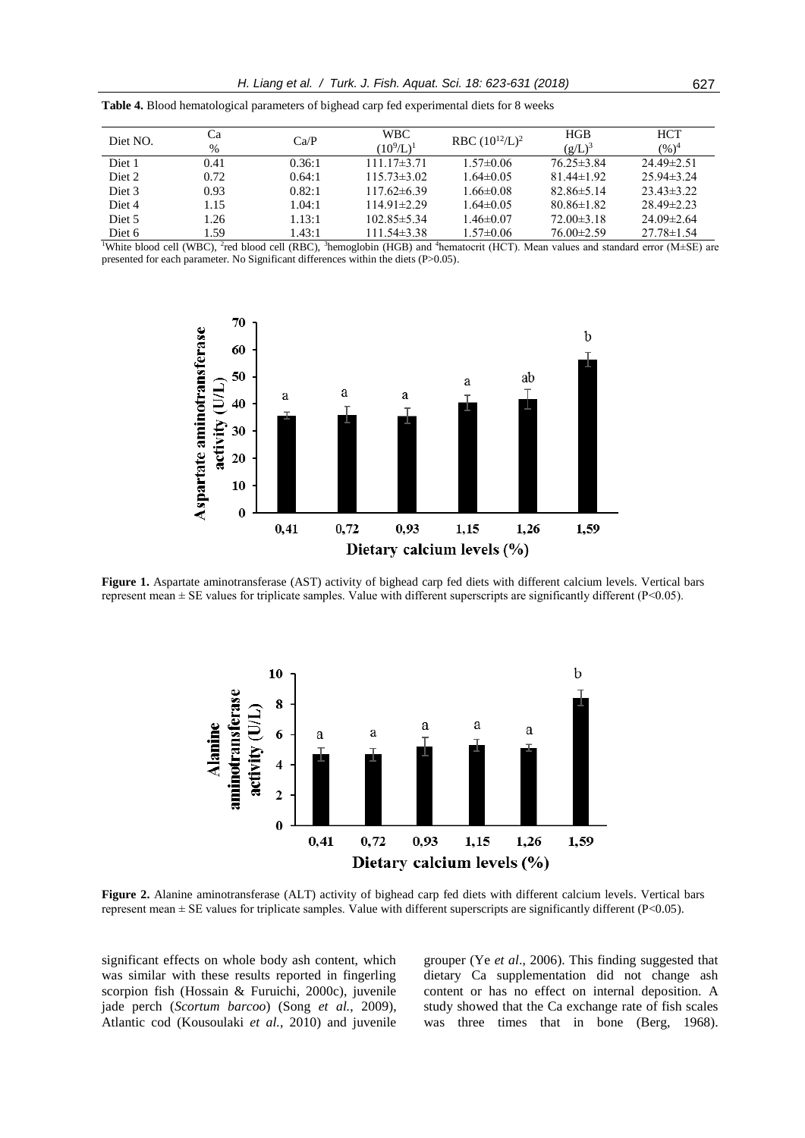| Diet NO.          | Cа<br>$\%$ | Ca/P   | WBC.<br>$(10^9/L)^1$ | RBC $(10^{12}/L)^2$ | <b>HGB</b><br>$(g/L)^3$ | <b>HCT</b><br>$(%)^4$ |
|-------------------|------------|--------|----------------------|---------------------|-------------------------|-----------------------|
| Diet 1            | 0.41       | 0.36:1 | $111.17\pm3.71$      | $1.57 \pm 0.06$     | $76.25 \pm 3.84$        | $24.49 \pm 2.51$      |
| Diet 2            | 0.72       | 0.64:1 | $115.73 \pm 3.02$    | $1.64 \pm 0.05$     | $81.44 \pm 1.92$        | $25.94\pm3.24$        |
| Diet 3            | 0.93       | 0.82:1 | $117.62\pm 6.39$     | $1.66 \pm 0.08$     | $82.86 \pm 5.14$        | $23.43\pm3.22$        |
| Diet <sub>4</sub> | 1.15       | 1.04:1 | $114.91 \pm 2.29$    | $1.64 \pm 0.05$     | $80.86 \pm 1.82$        | $28.49 \pm 2.23$      |
| Diet 5            | .26        | 1.13:1 | $102.85 \pm 5.34$    | $1.46 \pm 0.07$     | $72.00\pm3.18$          | $24.09 \pm 2.64$      |
| Diet 6            | .59        | 1.43:1 | $111.54 \pm 3.38$    | $1.57 \pm 0.06$     | $76.00 \pm 2.59$        | $27.78 \pm 1.54$      |

**Table 4.** Blood hematological parameters of bighead carp fed experimental diets for 8 weeks

<sup>1</sup>White blood cell (WBC), <sup>2</sup>red blood cell (RBC), <sup>3</sup>hemoglobin (HGB) and <sup>4</sup>hematocrit (HCT). Mean values and standard error (M±SE) are presented for each parameter. No Significant differences within the diets (P>0.05).



**Figure 1.** Aspartate aminotransferase (AST) activity of bighead carp fed diets with different calcium levels. Vertical bars represent mean  $\pm$  SE values for triplicate samples. Value with different superscripts are significantly different (P<0.05).



**Figure 2.** Alanine aminotransferase (ALT) activity of bighead carp fed diets with different calcium levels. Vertical bars represent mean ± SE values for triplicate samples. Value with different superscripts are significantly different (P<0.05).

significant effects on whole body ash content, which was similar with these results reported in fingerling scorpion fish (Hossain & Furuichi, 2000c), juvenile jade perch (*Scortum barcoo*) (Song *et al.*, 2009), Atlantic cod (Kousoulaki *et al.*, 2010) and juvenile grouper (Ye *et al*., 2006). This finding suggested that dietary Ca supplementation did not change ash content or has no effect on internal deposition. A study showed that the Ca exchange rate of fish scales was three times that in bone (Berg, 1968).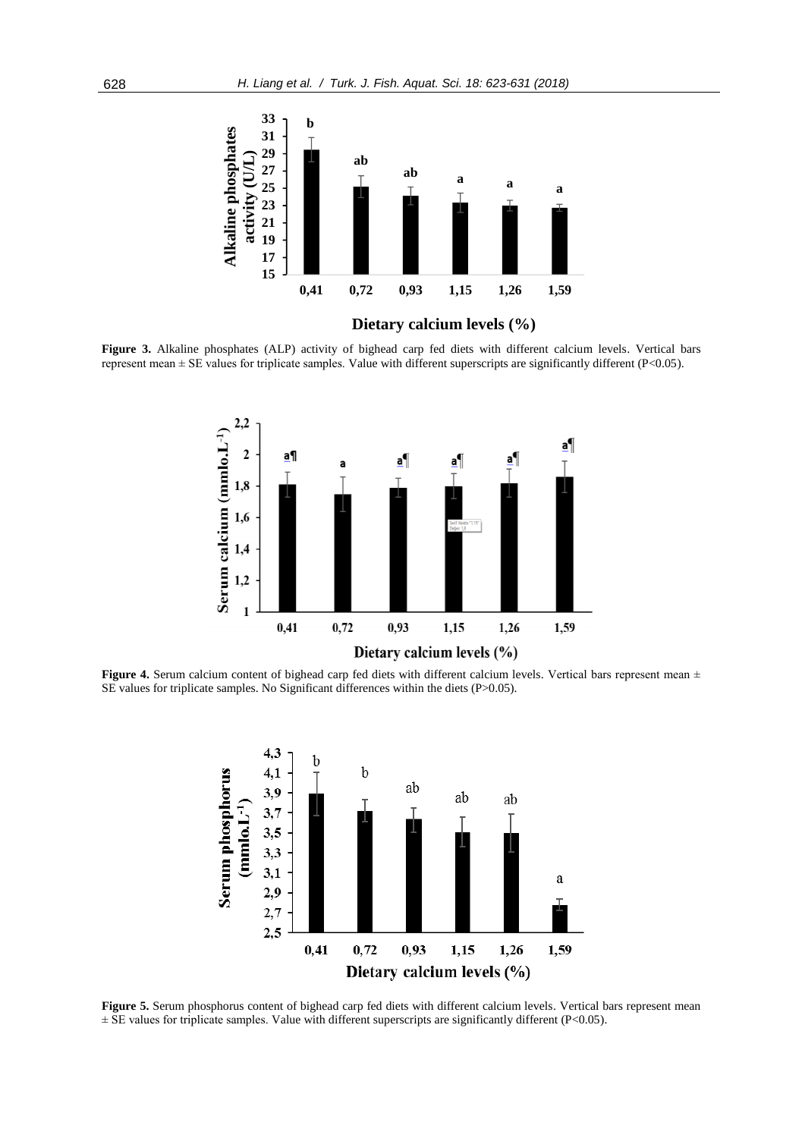

**Figure 3.** Alkaline phosphates (ALP) activity of bighead carp fed diets with different calcium levels. Vertical bars represent mean ± SE values for triplicate samples. Value with different superscripts are significantly different (P<0.05).



**Figure 4.** Serum calcium content of bighead carp fed diets with different calcium levels. Vertical bars represent mean  $\pm$ SE values for triplicate samples. No Significant differences within the diets (P>0.05).



**Figure 5.** Serum phosphorus content of bighead carp fed diets with different calcium levels. Vertical bars represent mean  $\pm$  SE values for triplicate samples. Value with different superscripts are significantly different (P<0.05).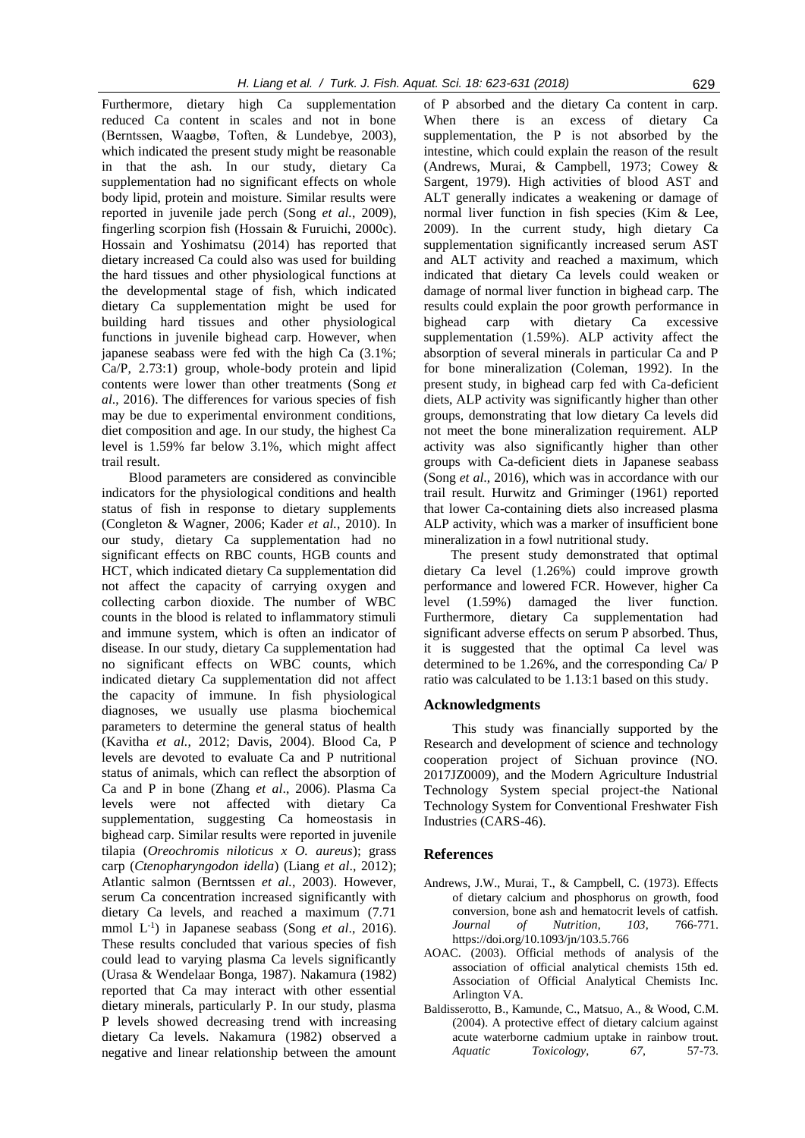Furthermore, dietary high Ca supplementation reduced Ca content in scales and not in bone (Berntssen, Waagbø, Toften, & Lundebye, 2003), which indicated the present study might be reasonable in that the ash. In our study, dietary Ca supplementation had no significant effects on whole body lipid, protein and moisture. Similar results were reported in juvenile jade perch (Song *et al.*, 2009), fingerling scorpion fish (Hossain & Furuichi, 2000c). Hossain and Yoshimatsu (2014) has reported that dietary increased Ca could also was used for building the hard tissues and other physiological functions at the developmental stage of fish, which indicated dietary Ca supplementation might be used for building hard tissues and other physiological functions in juvenile bighead carp. However, when japanese seabass were fed with the high Ca (3.1%; Ca/P, 2.73:1) group, whole-body protein and lipid contents were lower than other treatments (Song *et al*., 2016). The differences for various species of fish may be due to experimental environment conditions, diet composition and age. In our study, the highest Ca level is 1.59% far below 3.1%, which might affect trail result.

Blood parameters are considered as convincible indicators for the physiological conditions and health status of fish in response to dietary supplements (Congleton & Wagner, 2006; Kader *et al.*, 2010). In our study, dietary Ca supplementation had no significant effects on RBC counts, HGB counts and HCT, which indicated dietary Ca supplementation did not affect the capacity of carrying oxygen and collecting carbon dioxide. The number of WBC counts in the blood is related to inflammatory stimuli and immune system, which is often an indicator of disease. In our study, dietary Ca supplementation had no significant effects on WBC counts, which indicated dietary Ca supplementation did not affect the capacity of immune. In fish physiological diagnoses, we usually use plasma biochemical parameters to determine the general status of health (Kavitha *et al.*, 2012; Davis, 2004). Blood Ca, P levels are devoted to evaluate Ca and P nutritional status of animals, which can reflect the absorption of Ca and P in bone (Zhang *et al*., 2006). Plasma Ca levels were not affected with dietary Ca supplementation, suggesting Ca homeostasis in bighead carp. Similar results were reported in juvenile tilapia (*Oreochromis niloticus x O. aureus*); grass carp (*Ctenopharyngodon idella*) (Liang *et al*., 2012); Atlantic salmon (Berntssen *et al.*, 2003). However, serum Ca concentration increased significantly with dietary Ca levels, and reached a maximum (7.71 mmol L-1 ) in Japanese seabass (Song *et al*., 2016). These results concluded that various species of fish could lead to varying plasma Ca levels significantly (Urasa & Wendelaar Bonga, 1987). Nakamura (1982) reported that Ca may interact with other essential dietary minerals, particularly P. In our study, plasma P levels showed decreasing trend with increasing dietary Ca levels. Nakamura (1982) observed a negative and linear relationship between the amount

of P absorbed and the dietary Ca content in carp. When there is an excess of dietary Ca supplementation, the P is not absorbed by the intestine, which could explain the reason of the result (Andrews, Murai, & Campbell, 1973; Cowey & Sargent, 1979). High activities of blood AST and ALT generally indicates a weakening or damage of normal liver function in fish species (Kim & Lee, 2009). In the current study, high dietary Ca supplementation significantly increased serum AST and ALT activity and reached a maximum, which indicated that dietary Ca levels could weaken or damage of normal liver function in bighead carp. The results could explain the poor growth performance in bighead carp with dietary Ca excessive supplementation (1.59%). ALP activity affect the absorption of several minerals in particular Ca and P for bone mineralization (Coleman, 1992). In the present study, in bighead carp fed with Ca-deficient diets, ALP activity was significantly higher than other groups, demonstrating that low dietary Ca levels did not meet the bone mineralization requirement. ALP activity was also significantly higher than other groups with Ca-deficient diets in Japanese seabass (Song *et al*., 2016), which was in accordance with our trail result. Hurwitz and Griminger (1961) reported that lower Ca-containing diets also increased plasma ALP activity, which was a marker of insufficient bone mineralization in a fowl nutritional study.

The present study demonstrated that optimal dietary Ca level (1.26%) could improve growth performance and lowered FCR. However, higher Ca level (1.59%) damaged the liver function. Furthermore, dietary Ca supplementation had significant adverse effects on serum P absorbed. Thus, it is suggested that the optimal Ca level was determined to be 1.26%, and the corresponding Ca/ P ratio was calculated to be 1.13:1 based on this study.

# **Acknowledgments**

This study was financially supported by the Research and development of science and technology cooperation project of Sichuan province (NO. 2017JZ0009), and the Modern Agriculture Industrial Technology System special project-the National Technology System for Conventional Freshwater Fish Industries (CARS-46).

# **References**

- Andrews, J.W., Murai, T., & Campbell, C. (1973). Effects of dietary calcium and phosphorus on growth, food conversion, bone ash and hematocrit levels of catfish. *Journal of Nutrition*, *103*, 766-771. https://doi.org/10.1093/jn/103.5.766
- AOAC. (2003). Official methods of analysis of the association of official analytical chemists 15th ed. Association of Official Analytical Chemists Inc. Arlington VA.
- Baldisserotto, B., Kamunde, C., Matsuo, A., & Wood, C.M. (2004). A protective effect of dietary calcium against acute waterborne cadmium uptake in rainbow trout. *Aquatic Toxicology*, *67*, 57-73.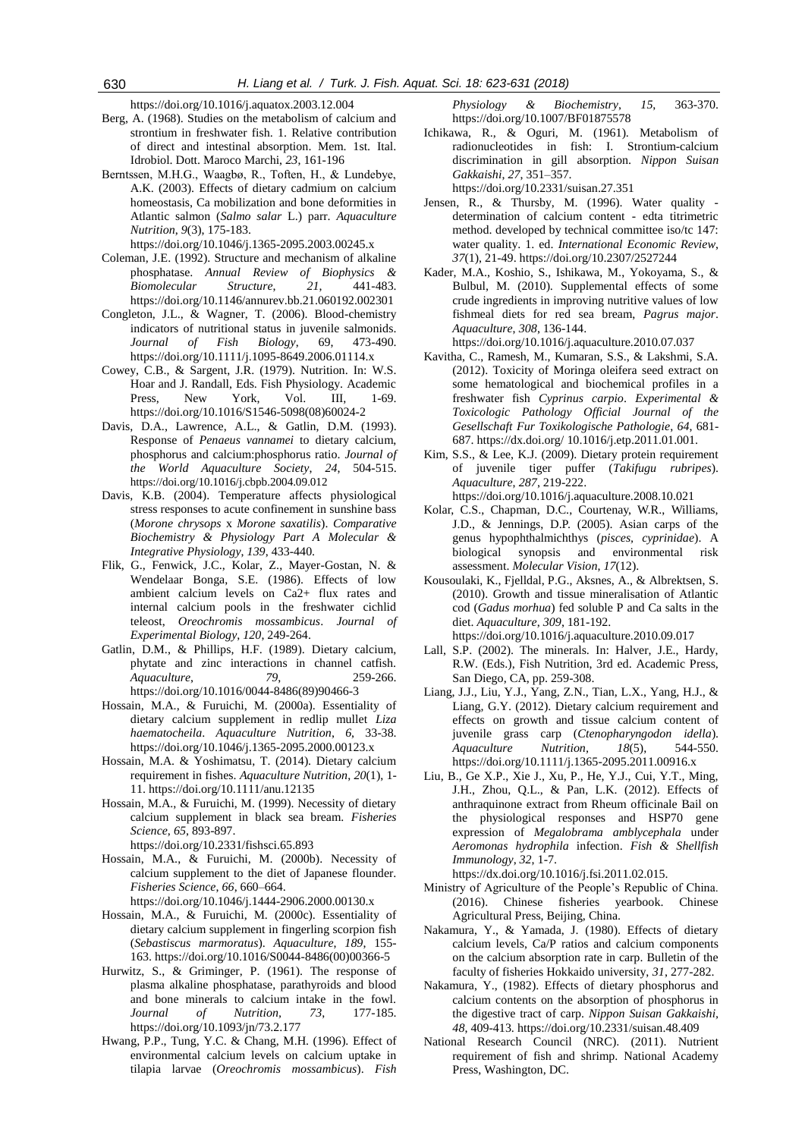https://doi.org/10.1016/j.aquatox.2003.12.004

- Berg, A. (1968). Studies on the metabolism of calcium and strontium in freshwater fish. 1. Relative contribution of direct and intestinal absorption. Mem. 1st. Ital. Idrobiol. Dott. Maroco Marchi, *23*, 161-196
- Berntssen, M.H.G., Waagbø, R., Toften, H., & Lundebye, A.K. (2003). Effects of dietary cadmium on calcium homeostasis, Ca mobilization and bone deformities in Atlantic salmon (*Salmo salar* L.) parr. *Aquaculture Nutrition*, *9*(3), 175-183.

https://doi.org/10.1046/j.1365-2095.2003.00245.x

- Coleman, J.E. (1992). Structure and mechanism of alkaline phosphatase. *Annual Review of Biophysics & Biomolecular Structure*, *21*, 441-483. https://doi.org/10.1146/annurev.bb.21.060192.002301
- Congleton, J.L., & Wagner, T. (2006). Blood-chemistry indicators of nutritional status in juvenile salmonids. *Journal of Fish Biology*, 69, 473-490. https://doi.org/10.1111/j.1095-8649.2006.01114.x
- Cowey, C.B., & Sargent, J.R. (1979). Nutrition. In: W.S. Hoar and J. Randall, Eds. Fish Physiology. Academic Press, New York, Vol. III, 1-69. https://doi.org/10.1016/S1546-5098(08)60024-2
- Davis, D.A., Lawrence, A.L., & Gatlin, D.M. (1993). Response of *Penaeus vannamei* to dietary calcium, phosphorus and calcium:phosphorus ratio. *Journal of the World Aquaculture Society*, *24*, 504-515. https://doi.org/10.1016/j.cbpb.2004.09.012
- Davis, K.B. (2004). Temperature affects physiological stress responses to acute confinement in sunshine bass (*Morone chrysops* x *Morone saxatilis*). *Comparative Biochemistry & Physiology Part A Molecular & Integrative Physiology*, *139*, 433-440.
- Flik, G., Fenwick, J.C., Kolar, Z., Mayer-Gostan, N. & Wendelaar Bonga, S.E. (1986). Effects of low ambient calcium levels on Ca2+ flux rates and internal calcium pools in the freshwater cichlid teleost, *Oreochromis mossambicus*. *Journal of Experimental Biology*, *120*, 249-264.
- Gatlin, D.M., & Phillips, H.F. (1989). Dietary calcium, phytate and zinc interactions in channel catfish. *Aquaculture*, *79*, 259-266. https://doi.org/10.1016/0044-8486(89)90466-3
- Hossain, M.A., & Furuichi, M. (2000a). Essentiality of dietary calcium supplement in redlip mullet *Liza haematocheila*. *Aquaculture Nutrition*, *6*, 33-38. https://doi.org/10.1046/j.1365-2095.2000.00123.x
- Hossain, M.A. & Yoshimatsu, T. (2014). Dietary calcium requirement in fishes. *Aquaculture Nutrition*, *20*(1), 1- 11. https://doi.org/10.1111/anu.12135
- Hossain, M.A., & Furuichi, M. (1999). Necessity of dietary calcium supplement in black sea bream. *Fisheries Science*, *65*, 893-897.

https://doi.org/10.2331/fishsci.65.893

- Hossain, M.A., & Furuichi, M. (2000b). Necessity of calcium supplement to the diet of Japanese flounder. *Fisheries Science*, *66*, 660–664. https://doi.org/10.1046/j.1444-2906.2000.00130.x
- Hossain, M.A., & Furuichi, M. (2000c). Essentiality of dietary calcium supplement in fingerling scorpion fish (*Sebastiscus marmoratus*). *Aquaculture*, *189*, 155- 163. https://doi.org/10.1016/S0044-8486(00)00366-5
- Hurwitz, S., & Griminger, P. (1961). The response of plasma alkaline phosphatase, parathyroids and blood and bone minerals to calcium intake in the fowl. *Journal of Nutrition, 73*, 177-185. https://doi.org/10.1093/jn/73.2.177
- Hwang, P.P., Tung, Y.C. & Chang, M.H. (1996). Effect of environmental calcium levels on calcium uptake in tilapia larvae (*Oreochromis mossambicus*). *Fish*

*Physiology & Biochemistry*, *15*, 363-370. https://doi.org/10.1007/BF01875578

- Ichikawa, R., & Oguri, M. (1961). Metabolism of radionucleotides in fish: I. Strontium-calcium discrimination in gill absorption. *Nippon Suisan Gakkaishi*, *27*, 351–357. https://doi.org/10.2331/suisan.27.351
- Jensen, R., & Thursby, M. (1996). Water quality determination of calcium content - edta titrimetric method. developed by technical committee iso/tc 147: water quality. 1. ed. *International Economic Review*, *37*(1), 21-49. https://doi.org/10.2307/2527244
- Kader, M.A., Koshio, S., Ishikawa, M., Yokoyama, S., & Bulbul, M. (2010). Supplemental effects of some crude ingredients in improving nutritive values of low fishmeal diets for red sea bream, *Pagrus major*. *Aquaculture*, *308*, 136-144.

https://doi.org/10.1016/j.aquaculture.2010.07.037

- Kavitha, C., Ramesh, M., Kumaran, S.S., & Lakshmi, S.A. (2012). Toxicity of Moringa oleifera seed extract on some hematological and biochemical profiles in a freshwater fish *Cyprinus carpio*. *Experimental & Toxicologic Pathology Official Journal of the Gesellschaft Fur Toxikologische Pathologie*, *64*, 681- 687. https://dx.doi.org/ 10.1016/j.etp.2011.01.001.
- Kim, S.S., & Lee, K.J. (2009). Dietary protein requirement of juvenile tiger puffer (*Takifugu rubripes*). *Aquaculture*, *287*, 219-222. https://doi.org/10.1016/j.aquaculture.2008.10.021
- Kolar, C.S., Chapman, D.C., Courtenay, W.R., Williams, J.D., & Jennings, D.P. (2005). Asian carps of the genus hypophthalmichthys (*pisces, cyprinidae*). A biological synopsis and environmental risk assessment. *Molecular Vision*, *17*(12).
- Kousoulaki, K., Fjelldal, P.G., Aksnes, A., & Albrektsen, S. (2010). Growth and tissue mineralisation of Atlantic cod (*Gadus morhua*) fed soluble P and Ca salts in the diet. *Aquaculture*, *309*, 181-192. https://doi.org/10.1016/j.aquaculture.2010.09.017
- Lall, S.P. (2002). The minerals. In: Halver, J.E., Hardy, R.W. (Eds.), Fish Nutrition, 3rd ed. Academic Press, San Diego, CA, pp. 259-308.
- Liang, J.J., Liu, Y.J., Yang, Z.N., Tian, L.X., Yang, H.J., & Liang, G.Y. (2012). Dietary calcium requirement and effects on growth and tissue calcium content of juvenile grass carp (*Ctenopharyngodon idella*). *Aquaculture Nutrition, 18*(5), 544-550. https://doi.org/10.1111/j.1365-2095.2011.00916.x
- Liu, B., Ge X.P., Xie J., Xu, P., He, Y.J., Cui, Y.T., Ming, J.H., Zhou, Q.L., & Pan, L.K. (2012). Effects of anthraquinone extract from Rheum officinale Bail on the physiological responses and HSP70 gene expression of *Megalobrama amblycephala* under *Aeromonas hydrophila* infection. *Fish & Shellfish Immunology*, *32*, 1-7.
- https://dx.doi.org/10.1016/j.fsi.2011.02.015. Ministry of Agriculture of the People's Republic of China. (2016). Chinese fisheries yearbook. Chinese Agricultural Press, Beijing, China.
- Nakamura, Y., & Yamada, J. (1980). Effects of dietary calcium levels, Ca/P ratios and calcium components on the calcium absorption rate in carp. Bulletin of the faculty of fisheries Hokkaido university, *31*, 277-282.
- Nakamura, Y., (1982). Effects of dietary phosphorus and calcium contents on the absorption of phosphorus in the digestive tract of carp. *Nippon Suisan Gakkaishi, 48*, 409-413. https://doi.org/10.2331/suisan.48.409
- National Research Council (NRC). (2011). Nutrient requirement of fish and shrimp. National Academy Press, Washington, DC.